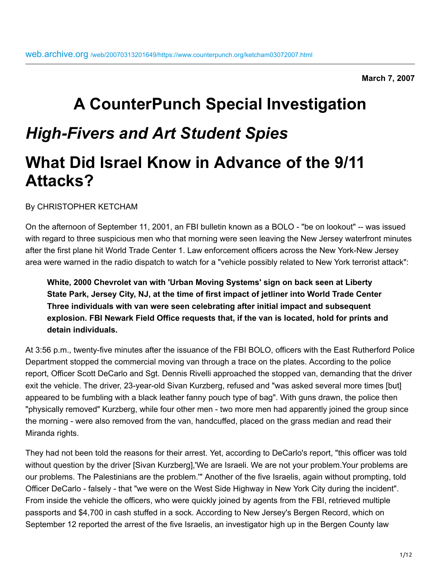**March 7, 2007**

# **A CounterPunch Special Investigation** *High-Fivers and Art Student Spies* **What Did Israel Know in Advance of the 9/11 Attacks?**

By CHRISTOPHER KETCHAM

On the afternoon of September 11, 2001, an FBI bulletin known as a BOLO - "be on lookout" -- was issued with regard to three suspicious men who that morning were seen leaving the New Jersey waterfront minutes after the first plane hit World Trade Center 1. Law enforcement officers across the New York-New Jersey area were warned in the radio dispatch to watch for a "vehicle possibly related to New York terrorist attack":

**White, 2000 Chevrolet van with 'Urban Moving Systems' sign on back seen at Liberty State Park, Jersey City, NJ, at the time of first impact of jetliner into World Trade Center Three individuals with van were seen celebrating after initial impact and subsequent explosion. FBI Newark Field Office requests that, if the van is located, hold for prints and detain individuals.**

At 3:56 p.m., twenty-five minutes after the issuance of the FBI BOLO, officers with the East Rutherford Police Department stopped the commercial moving van through a trace on the plates. According to the police report, Officer Scott DeCarlo and Sgt. Dennis Rivelli approached the stopped van, demanding that the driver exit the vehicle. The driver, 23-year-old Sivan Kurzberg, refused and "was asked several more times [but] appeared to be fumbling with a black leather fanny pouch type of bag". With guns drawn, the police then "physically removed" Kurzberg, while four other men - two more men had apparently joined the group since the morning - were also removed from the van, handcuffed, placed on the grass median and read their Miranda rights.

They had not been told the reasons for their arrest. Yet, according to DeCarlo's report, "this officer was told without question by the driver [Sivan Kurzberg],'We are Israeli. We are not your problem.Your problems are our problems. The Palestinians are the problem.'" Another of the five Israelis, again without prompting, told Officer DeCarlo - falsely - that "we were on the West Side Highway in New York City during the incident". From inside the vehicle the officers, who were quickly joined by agents from the FBI, retrieved multiple passports and \$4,700 in cash stuffed in a sock. According to New Jersey's Bergen Record, which on September 12 reported the arrest of the five Israelis, an investigator high up in the Bergen County law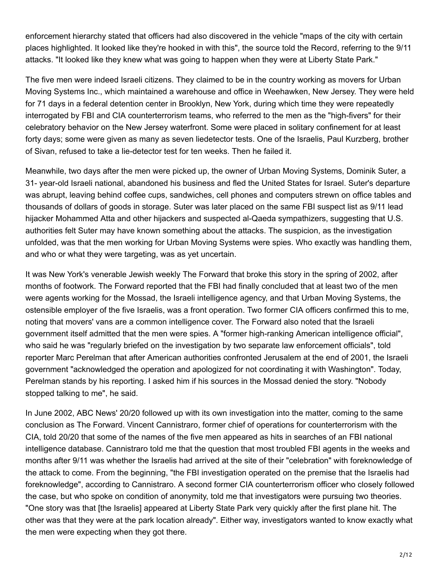enforcement hierarchy stated that officers had also discovered in the vehicle "maps of the city with certain places highlighted. It looked like they're hooked in with this", the source told the Record, referring to the 9/11 attacks. "It looked like they knew what was going to happen when they were at Liberty State Park."

The five men were indeed Israeli citizens. They claimed to be in the country working as movers for Urban Moving Systems Inc., which maintained a warehouse and office in Weehawken, New Jersey. They were held for 71 days in a federal detention center in Brooklyn, New York, during which time they were repeatedly interrogated by FBI and CIA counterterrorism teams, who referred to the men as the "high-fivers" for their celebratory behavior on the New Jersey waterfront. Some were placed in solitary confinement for at least forty days; some were given as many as seven liedetector tests. One of the Israelis, Paul Kurzberg, brother of Sivan, refused to take a lie-detector test for ten weeks. Then he failed it.

Meanwhile, two days after the men were picked up, the owner of Urban Moving Systems, Dominik Suter, a 31- year-old Israeli national, abandoned his business and fled the United States for Israel. Suter's departure was abrupt, leaving behind coffee cups, sandwiches, cell phones and computers strewn on office tables and thousands of dollars of goods in storage. Suter was later placed on the same FBI suspect list as 9/11 lead hijacker Mohammed Atta and other hijackers and suspected al-Qaeda sympathizers, suggesting that U.S. authorities felt Suter may have known something about the attacks. The suspicion, as the investigation unfolded, was that the men working for Urban Moving Systems were spies. Who exactly was handling them, and who or what they were targeting, was as yet uncertain.

It was New York's venerable Jewish weekly The Forward that broke this story in the spring of 2002, after months of footwork. The Forward reported that the FBI had finally concluded that at least two of the men were agents working for the Mossad, the Israeli intelligence agency, and that Urban Moving Systems, the ostensible employer of the five Israelis, was a front operation. Two former CIA officers confirmed this to me, noting that movers' vans are a common intelligence cover. The Forward also noted that the Israeli government itself admitted that the men were spies. A "former high-ranking American intelligence official", who said he was "regularly briefed on the investigation by two separate law enforcement officials", told reporter Marc Perelman that after American authorities confronted Jerusalem at the end of 2001, the Israeli government "acknowledged the operation and apologized for not coordinating it with Washington". Today, Perelman stands by his reporting. I asked him if his sources in the Mossad denied the story. "Nobody stopped talking to me", he said.

In June 2002, ABC News' 20/20 followed up with its own investigation into the matter, coming to the same conclusion as The Forward. Vincent Cannistraro, former chief of operations for counterterrorism with the CIA, told 20/20 that some of the names of the five men appeared as hits in searches of an FBI national intelligence database. Cannistraro told me that the question that most troubled FBI agents in the weeks and months after 9/11 was whether the Israelis had arrived at the site of their "celebration" with foreknowledge of the attack to come. From the beginning, "the FBI investigation operated on the premise that the Israelis had foreknowledge", according to Cannistraro. A second former CIA counterterrorism officer who closely followed the case, but who spoke on condition of anonymity, told me that investigators were pursuing two theories. "One story was that [the Israelis] appeared at Liberty State Park very quickly after the first plane hit. The other was that they were at the park location already". Either way, investigators wanted to know exactly what the men were expecting when they got there.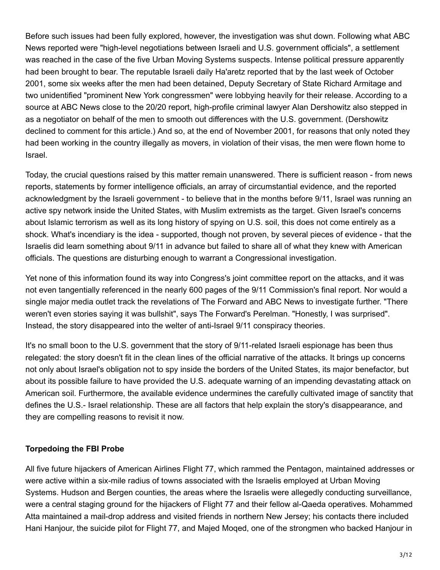Before such issues had been fully explored, however, the investigation was shut down. Following what ABC News reported were "high-level negotiations between Israeli and U.S. government officials", a settlement was reached in the case of the five Urban Moving Systems suspects. Intense political pressure apparently had been brought to bear. The reputable Israeli daily Ha'aretz reported that by the last week of October 2001, some six weeks after the men had been detained, Deputy Secretary of State Richard Armitage and two unidentified "prominent New York congressmen" were lobbying heavily for their release. According to a source at ABC News close to the 20/20 report, high-profile criminal lawyer Alan Dershowitz also stepped in as a negotiator on behalf of the men to smooth out differences with the U.S. government. (Dershowitz declined to comment for this article.) And so, at the end of November 2001, for reasons that only noted they had been working in the country illegally as movers, in violation of their visas, the men were flown home to Israel.

Today, the crucial questions raised by this matter remain unanswered. There is sufficient reason - from news reports, statements by former intelligence officials, an array of circumstantial evidence, and the reported acknowledgment by the Israeli government - to believe that in the months before 9/11, Israel was running an active spy network inside the United States, with Muslim extremists as the target. Given Israel's concerns about Islamic terrorism as well as its long history of spying on U.S. soil, this does not come entirely as a shock. What's incendiary is the idea - supported, though not proven, by several pieces of evidence - that the Israelis did learn something about 9/11 in advance but failed to share all of what they knew with American officials. The questions are disturbing enough to warrant a Congressional investigation.

Yet none of this information found its way into Congress's joint committee report on the attacks, and it was not even tangentially referenced in the nearly 600 pages of the 9/11 Commission's final report. Nor would a single major media outlet track the revelations of The Forward and ABC News to investigate further. "There weren't even stories saying it was bullshit", says The Forward's Perelman. "Honestly, I was surprised". Instead, the story disappeared into the welter of anti-Israel 9/11 conspiracy theories.

It's no small boon to the U.S. government that the story of 9/11-related Israeli espionage has been thus relegated: the story doesn't fit in the clean lines of the official narrative of the attacks. It brings up concerns not only about Israel's obligation not to spy inside the borders of the United States, its major benefactor, but about its possible failure to have provided the U.S. adequate warning of an impending devastating attack on American soil. Furthermore, the available evidence undermines the carefully cultivated image of sanctity that defines the U.S.- Israel relationship. These are all factors that help explain the story's disappearance, and they are compelling reasons to revisit it now.

# **Torpedoing the FBI Probe**

All five future hijackers of American Airlines Flight 77, which rammed the Pentagon, maintained addresses or were active within a six-mile radius of towns associated with the Israelis employed at Urban Moving Systems. Hudson and Bergen counties, the areas where the Israelis were allegedly conducting surveillance, were a central staging ground for the hijackers of Flight 77 and their fellow al-Qaeda operatives. Mohammed Atta maintained a mail-drop address and visited friends in northern New Jersey; his contacts there included Hani Hanjour, the suicide pilot for Flight 77, and Majed Moqed, one of the strongmen who backed Hanjour in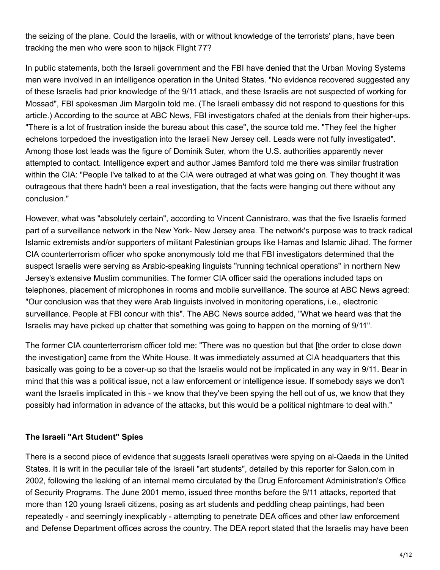the seizing of the plane. Could the Israelis, with or without knowledge of the terrorists' plans, have been tracking the men who were soon to hijack Flight 77?

In public statements, both the Israeli government and the FBI have denied that the Urban Moving Systems men were involved in an intelligence operation in the United States. "No evidence recovered suggested any of these Israelis had prior knowledge of the 9/11 attack, and these Israelis are not suspected of working for Mossad", FBI spokesman Jim Margolin told me. (The Israeli embassy did not respond to questions for this article.) According to the source at ABC News, FBI investigators chafed at the denials from their higher-ups. "There is a lot of frustration inside the bureau about this case", the source told me. "They feel the higher echelons torpedoed the investigation into the Israeli New Jersey cell. Leads were not fully investigated". Among those lost leads was the figure of Dominik Suter, whom the U.S. authorities apparently never attempted to contact. Intelligence expert and author James Bamford told me there was similar frustration within the CIA: "People I've talked to at the CIA were outraged at what was going on. They thought it was outrageous that there hadn't been a real investigation, that the facts were hanging out there without any conclusion."

However, what was "absolutely certain", according to Vincent Cannistraro, was that the five Israelis formed part of a surveillance network in the New York- New Jersey area. The network's purpose was to track radical Islamic extremists and/or supporters of militant Palestinian groups like Hamas and Islamic Jihad. The former CIA counterterrorism officer who spoke anonymously told me that FBI investigators determined that the suspect Israelis were serving as Arabic-speaking linguists "running technical operations" in northern New Jersey's extensive Muslim communities. The former CIA officer said the operations included taps on telephones, placement of microphones in rooms and mobile surveillance. The source at ABC News agreed: "Our conclusion was that they were Arab linguists involved in monitoring operations, i.e., electronic surveillance. People at FBI concur with this". The ABC News source added, "What we heard was that the Israelis may have picked up chatter that something was going to happen on the morning of 9/11".

The former CIA counterterrorism officer told me: "There was no question but that [the order to close down the investigation] came from the White House. It was immediately assumed at CIA headquarters that this basically was going to be a cover-up so that the Israelis would not be implicated in any way in 9/11. Bear in mind that this was a political issue, not a law enforcement or intelligence issue. If somebody says we don't want the Israelis implicated in this - we know that they've been spying the hell out of us, we know that they possibly had information in advance of the attacks, but this would be a political nightmare to deal with."

#### **The Israeli "Art Student" Spies**

There is a second piece of evidence that suggests Israeli operatives were spying on al-Qaeda in the United States. It is writ in the peculiar tale of the Israeli "art students", detailed by this reporter for Salon.com in 2002, following the leaking of an internal memo circulated by the Drug Enforcement Administration's Office of Security Programs. The June 2001 memo, issued three months before the 9/11 attacks, reported that more than 120 young Israeli citizens, posing as art students and peddling cheap paintings, had been repeatedly - and seemingly inexplicably - attempting to penetrate DEA offices and other law enforcement and Defense Department offices across the country. The DEA report stated that the Israelis may have been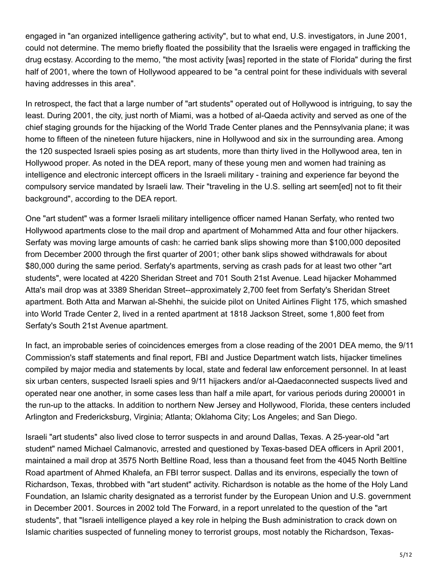engaged in "an organized intelligence gathering activity", but to what end, U.S. investigators, in June 2001, could not determine. The memo briefly floated the possibility that the Israelis were engaged in trafficking the drug ecstasy. According to the memo, "the most activity [was] reported in the state of Florida" during the first half of 2001, where the town of Hollywood appeared to be "a central point for these individuals with several having addresses in this area".

In retrospect, the fact that a large number of "art students" operated out of Hollywood is intriguing, to say the least. During 2001, the city, just north of Miami, was a hotbed of al-Qaeda activity and served as one of the chief staging grounds for the hijacking of the World Trade Center planes and the Pennsylvania plane; it was home to fifteen of the nineteen future hijackers, nine in Hollywood and six in the surrounding area. Among the 120 suspected Israeli spies posing as art students, more than thirty lived in the Hollywood area, ten in Hollywood proper. As noted in the DEA report, many of these young men and women had training as intelligence and electronic intercept officers in the Israeli military - training and experience far beyond the compulsory service mandated by Israeli law. Their "traveling in the U.S. selling art seem[ed] not to fit their background", according to the DEA report.

One "art student" was a former Israeli military intelligence officer named Hanan Serfaty, who rented two Hollywood apartments close to the mail drop and apartment of Mohammed Atta and four other hijackers. Serfaty was moving large amounts of cash: he carried bank slips showing more than \$100,000 deposited from December 2000 through the first quarter of 2001; other bank slips showed withdrawals for about \$80,000 during the same period. Serfaty's apartments, serving as crash pads for at least two other "art students", were located at 4220 Sheridan Street and 701 South 21st Avenue. Lead hijacker Mohammed Atta's mail drop was at 3389 Sheridan Street--approximately 2,700 feet from Serfaty's Sheridan Street apartment. Both Atta and Marwan al-Shehhi, the suicide pilot on United Airlines Flight 175, which smashed into World Trade Center 2, lived in a rented apartment at 1818 Jackson Street, some 1,800 feet from Serfaty's South 21st Avenue apartment.

In fact, an improbable series of coincidences emerges from a close reading of the 2001 DEA memo, the 9/11 Commission's staff statements and final report, FBI and Justice Department watch lists, hijacker timelines compiled by major media and statements by local, state and federal law enforcement personnel. In at least six urban centers, suspected Israeli spies and 9/11 hijackers and/or al-Qaeda connected suspects lived and operated near one another, in some cases less than half a mile apart, for various periods during 2000 01 in the run-up to the attacks. In addition to northern New Jersey and Hollywood, Florida, these centers included Arlington and Fredericksburg, Virginia; Atlanta; Oklahoma City; Los Angeles; and San Diego.

Israeli "art students" also lived close to terror suspects in and around Dallas, Texas. A 25-year-old "art student" named Michael Calmanovic, arrested and questioned by Texas-based DEA officers in April 2001, maintained a mail drop at 3575 North Beltline Road, less than a thousand feet from the 4045 North Beltline Road apartment of Ahmed Khalefa, an FBI terror suspect. Dallas and its environs, especially the town of Richardson, Texas, throbbed with "art student" activity. Richardson is notable as the home of the Holy Land Foundation, an Islamic charity designated as a terrorist funder by the European Union and U.S. government in December 2001. Sources in 2002 told The Forward, in a report unrelated to the question of the "art students", that "Israeli intelligence played a key role in helping the Bush administration to crack down on Islamic charities suspected of funneling money to terrorist groups, most notably the Richardson, Texas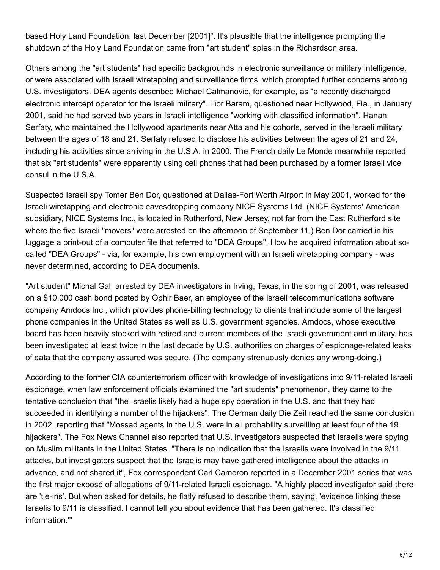based Holy Land Foundation, last December [2001]". It's plausible that the intelligence prompting the shutdown of the Holy Land Foundation came from "art student" spies in the Richardson area.

Others among the "art students" had specific backgrounds in electronic surveillance or military intelligence, or were associated with Israeli wiretapping and surveillance firms, which prompted further concerns among U.S. investigators. DEA agents described Michael Calmanovic, for example, as "a recently discharged electronic intercept operator for the Israeli military". Lior Baram, questioned near Hollywood, Fla., in January 2001, said he had served two years in Israeli intelligence "working with classified information". Hanan Serfaty, who maintained the Hollywood apartments near Atta and his cohorts, served in the Israeli military between the ages of 18 and 21. Serfaty refused to disclose his activities between the ages of 21 and 24, including his activities since arriving in the U.S.A. in 2000. The French daily Le Monde meanwhile reported that six "art students" were apparently using cell phones that had been purchased by a former Israeli vice consul in the U.S.A.

Suspected Israeli spy Tomer Ben Dor, questioned at Dallas-Fort Worth Airport in May 2001, worked for the Israeli wiretapping and electronic eavesdropping company NICE Systems Ltd. (NICE Systems' American subsidiary, NICE Systems Inc., is located in Rutherford, New Jersey, not far from the East Rutherford site where the five Israeli "movers" were arrested on the afternoon of September 11.) Ben Dor carried in his luggage a print-out of a computer file that referred to "DEA Groups". How he acquired information about socalled "DEA Groups" - via, for example, his own employment with an Israeli wiretapping company -was never determined, according to DEA documents.

"Art student" Michal Gal, arrested by DEA investigators in Irving, Texas, in the spring of 2001, was released on a \$10,000 cash bond posted by Ophir Baer, an employee of the Israeli telecommunications software company Amdocs Inc., which provides phone-billing technology to clients that include some of the largest phone companies in the United States as well as U.S. government agencies. Amdocs, whose executive board has been heavily stocked with retired and current members of the Israeli government and military, has been investigated at least twice in the last decade by U.S. authorities on charges of espionage-related leaks of data that the company assured was secure. (The company strenuously denies any wrong-doing.)

According to the former CIA counterterrorism officer with knowledge of investigations into 9/11-related Israeli espionage, when law enforcement officials examined the "art students" phenomenon, they came to the tentative conclusion that "the Israelis likely had a huge spy operation in the U.S. and that they had succeeded in identifying a number of the hijackers". The German daily Die Zeit reached the same conclusion in 2002, reporting that "Mossad agents in the U.S. were in all probability surveilling at least four of the 19 hijackers". The Fox News Channel also reported that U.S. investigators suspected that Israelis were spying on Muslim militants in the United States. "There is no indication that the Israelis were involved in the 9/11 attacks, but investigators suspect that the Israelis may have gathered intelligence about the attacks in advance, and not shared it", Fox correspondent Carl Cameron reported in a December 2001 series that was the first major exposé of allegations of 9/11-related Israeli espionage. "A highly placed investigator said there are 'tie-ins'. But when asked for details, he flatly refused to describe them, saying, 'evidence linking these Israelis to 9/11 is classified. I cannot tell you about evidence that has been gathered. It's classified information.'"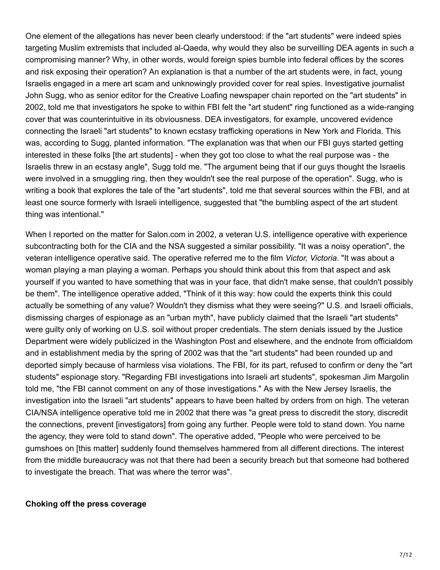One element of the allegations has never been clearly understood: if the "art students" were indeed spies targeting Muslim extremists that included al-Qaeda, why would they also be surveilling DEA agents in such a compromising manner? Why, in other words, would foreign spies bumble into federal offices by the scores and risk exposing their operation? An explanation is that a number of the art students were, in fact, young Israelis engaged in a mere art scam and unknowingly provided cover for real spies. Investigative journalist John Sugg, who as senior editor for the Creative Loafing newspaper chain reported on the "art students" in 2002, told me that investigators he spoke to within FBI felt the "art student" ring functioned as a wide-ranging cover that was counterintuitive in its obviousness. DEA investigators, for example, uncovered evidence connecting the Israeli "art students" to known ecstasy trafficking operations in New York and Florida. This was, according to Sugg, planted information. "The explanation was that when our FBI guys started getting interested in these folks [the art students] - when they got too close to what the real purpose was - the Israelis threw in an ecstasy angle", Sugg told me. "The argument being that if our guys thought the Israelis were involved in a smuggling ring, then they wouldn't see the real purpose of the operation". Sugg, who is writing a book that explores the tale of the "art students", told me that several sources within the FBI, and at least one source formerly with Israeli intelligence, suggested that "the bumbling aspect of the art student thing was intentional."

When I reported on the matter for Salon.com in 2002, a veteran U.S. intelligence operative with experience subcontracting both for the CIA and the NSA suggested a similar possibility. "It was a noisy operation", the veteran intelligence operative said. The operative referred me to the film *Victor, Victoria*. "It was about a woman playing a man playing a woman. Perhaps you should think about this from that aspect and ask yourself if you wanted to have something that was in your face, that didn't make sense, that couldn't possibly be them". The intelligence operative added, "Think of it this way: how could the experts think this could actually be something of any value? Wouldn't they dismiss what they were seeing?" U.S. and Israeli officials, dismissing charges of espionage as an "urban myth", have publicly claimed that the Israeli "art students" were guilty only of working on U.S. soil without proper credentials. The stern denials issued by the Justice Department were widely publicized in the Washington Post and elsewhere, and the endnote from officialdom and in establishment media by the spring of 2002 was that the "art students" had been rounded up and deported simply because of harmless visa violations. The FBI, for its part, refused to confirm or deny the "art students" espionage story. "Regarding FBI investigations into Israeli art students", spokesman Jim Margolin told me, "the FBI cannot comment on any of those investigations." As with the New Jersey Israelis, the investigation into the Israeli "art students" appears to have been halted by orders from on high. The veteran CIA/NSA intelligence operative told me in 2002 that there was "a great press to discredit the story, discredit the connections, prevent [investigators] from going any further. People were told to stand down. You name the agency, they were told to stand down". The operative added, "People who were perceived to be gumshoes on [this matter] suddenly found themselves hammered from all different directions. The interest from the middle bureaucracy was not that there had been a security breach but that someone had bothered to investigate the breach. That was where the terror was".

#### **Choking off the press coverage**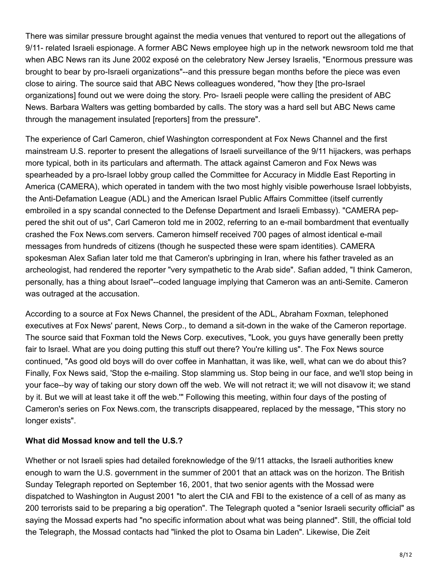There was similar pressure brought against the media venues that ventured to report out the allegations of 9/11- related Israeli espionage. A former ABC News employee high up in the network newsroom told me that when ABC News ran its June 2002 exposé on the celebratory New Jersey Israelis, "Enormous pressure was brought to bear by pro-Israeli organizations"--and this pressure began months before the piece was even close to airing. The source said that ABC News colleagues wondered, "how they [the pro-Israel organizations] found out we were doing the story. Pro- Israeli people were calling the president of ABC News. Barbara Walters was getting bombarded by calls. The story was a hard sell but ABC News came through the management insulated [reporters] from the pressure".

The experience of Carl Cameron, chief Washington correspondent at Fox News Channel and the first mainstream U.S. reporter to present the allegations of Israeli surveillance of the 9/11 hijackers, was perhaps more typical, both in its particulars and aftermath. The attack against Cameron and Fox News was spearheaded by a pro-Israel lobby group called the Committee for Accuracy in Middle East Reporting in America (CAMERA), which operated in tandem with the two most highly visible powerhouse Israel lobbyists, the Anti-Defamation League (ADL) and the American Israel Public Affairs Committee (itself currently embroiled in a spy scandal connected to the Defense Department and Israeli Embassy). "CAMERA peppered the shit out of us", Carl Cameron told me in 2002, referring to an e-mail bombardment that eventually crashed the Fox News.com servers. Cameron himself received 700 pages of almost identical e-mail messages from hundreds of citizens (though he suspected these were spam identities). CAMERA spokesman Alex Safian later told me that Cameron's upbringing in Iran, where his father traveled as an archeologist, had rendered the reporter "very sympathetic to the Arab side". Safian added, "I think Cameron, personally, has a thing about Israel"--coded language implying that Cameron was an anti-Semite. Cameron was outraged at the accusation.

According to a source at Fox News Channel, the president of the ADL, Abraham Foxman, telephoned executives at Fox News' parent, News Corp., to demand a sit-down in the wake of the Cameron reportage. The source said that Foxman told the News Corp. executives, "Look, you guys have generally been pretty fair to Israel. What are you doing putting this stuff out there? You're killing us". The Fox News source continued, "As good old boys will do over coffee in Manhattan, it was like, well, what can we do about this? Finally, Fox News said, 'Stop the e-mailing. Stop slamming us. Stop being in our face, and we'll stop being in your face--by way of taking our story down off the web. We will not retract it; we will not disavow it; we stand by it. But we will at least take it off the web.'" Following this meeting, within four days of the posting of Cameron's series on Fox News.com, the transcripts disappeared, replaced by the message, "This story no longer exists".

## **What did Mossad know and tell the U.S.?**

Whether or not Israeli spies had detailed foreknowledge of the 9/11 attacks, the Israeli authorities knew enough to warn the U.S. government in the summer of 2001 that an attack was on the horizon. The British Sunday Telegraph reported on September 16, 2001, that two senior agents with the Mossad were dispatched to Washington in August 2001 "to alert the CIA and FBI to the existence of a cell of as many as 200 terrorists said to be preparing a big operation". The Telegraph quoted a "senior Israeli security official" as saying the Mossad experts had "no specific information about what was being planned". Still, the official told the Telegraph, the Mossad contacts had "linked the plot to Osama bin Laden". Likewise, Die Zeit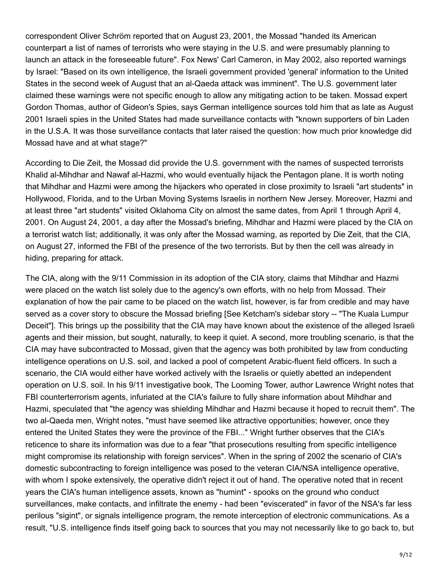correspondent Oliver Schröm reported that on August 23, 2001, the Mossad "handed its American counterpart a list of names of terrorists who were staying in the U.S. and were presumably planning to launch an attack in the foreseeable future". Fox News' Carl Cameron, in May 2002, also reported warnings by Israel: "Based on its own intelligence, the Israeli government provided 'general' information to the United States in the second week of August that an al-Qaeda attack was imminent". The U.S. government later claimed these warnings were not specific enough to allow any mitigating action to be taken. Mossad expert Gordon Thomas, author of Gideon's Spies, says German intelligence sources told him that as late as August 2001 Israeli spies in the United States had made surveillance contacts with "known supporters of bin Laden in the U.S.A. It was those surveillance contacts that later raised the question: how much prior knowledge did Mossad have and at what stage?"

According to Die Zeit, the Mossad did provide the U.S. government with the names of suspected terrorists Khalid al-Mihdhar and Nawaf al-Hazmi, who would eventually hijack the Pentagon plane. It is worth noting that Mihdhar and Hazmi were among the hijackers who operated in close proximity to Israeli "art students" in Hollywood, Florida, and to the Urban Moving Systems Israelis in northern New Jersey. Moreover, Hazmi and at least three "art students" visited Oklahoma City on almost the same dates, from April 1 through April 4, 2001. On August 24, 2001, a day after the Mossad's briefing, Mihdhar and Hazmi were placed by the CIA on a terrorist watch list; additionally, it was only after the Mossad warning, as reported by Die Zeit, that the CIA, on August 27, informed the FBI of the presence of the two terrorists. But by then the cell was already in hiding, preparing for attack.

The CIA, along with the 9/11 Commission in its adoption of the CIA story, claims that Mihdhar and Hazmi were placed on the watch list solely due to the agency's own efforts, with no help from Mossad. Their explanation of how the pair came to be placed on the watch list, however, is far from credible and may have served as a cover story to obscure the Mossad briefing [See Ketcham's sidebar story -- "The Kuala Lumpur Deceit"]. This brings up the possibility that the CIA may have known about the existence of the alleged Israeli agents and their mission, but sought, naturally, to keep it quiet. A second, more troubling scenario, is that the CIA may have subcontracted to Mossad, given that the agency was both prohibited by law from conducting intelligence operations on U.S. soil, and lacked a pool of competent Arabic-fluent field officers. In such a scenario, the CIA would either have worked actively with the Israelis or quietly abetted an independent operation on U.S. soil. In his 9/11 investigative book, The Looming Tower, author Lawrence Wright notes that FBI counterterrorism agents, infuriated at the CIA's failure to fully share information about Mihdhar and Hazmi, speculated that "the agency was shielding Mihdhar and Hazmi because it hoped to recruit them". The two al-Qaeda men, Wright notes, "must have seemed like attractive opportunities; however, once they entered the United States they were the province of the FBI..." Wright further observes that the CIA's reticence to share its information was due to a fear "that prosecutions resulting from specific intelligence might compromise its relationship with foreign services". When in the spring of 2002 the scenario of CIA's domestic subcontracting to foreign intelligence was posed to the veteran CIA/NSA intelligence operative, with whom I spoke extensively, the operative didn't reject it out of hand. The operative noted that in recent years the CIA's human intelligence assets, known as "humint" - spooks on the ground who conduct surveillances, make contacts, and infiltrate the enemy - had been "eviscerated" in favor of the NSA's far less perilous "sigint", or signals intelligence program, the remote interception of electronic communications. As a result, "U.S. intelligence finds itself going back to sources that you may not necessarily like to go back to, but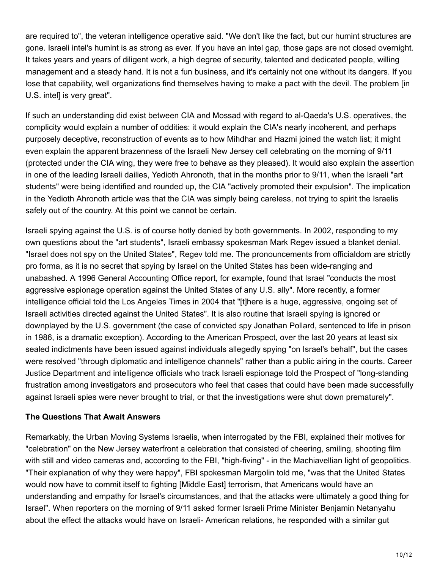are required to", the veteran intelligence operative said. "We don't like the fact, but our humint structures are gone. Israeli intel's humint is as strong as ever. If you have an intel gap, those gaps are not closed overnight. It takes years and years of diligent work, a high degree of security, talented and dedicated people, willing management and a steady hand. It is not a fun business, and it's certainly not one without its dangers. If you lose that capability, well organizations find themselves having to make a pact with the devil. The problem [in U.S. intel] is very great".

If such an understanding did exist between CIA and Mossad with regard to al-Qaeda's U.S. operatives, the complicity would explain a number of oddities: it would explain the CIA's nearly incoherent, and perhaps purposely deceptive, reconstruction of events as to how Mihdhar and Hazmi joined the watch list; it might even explain the apparent brazenness of the Israeli New Jersey cell celebrating on the morning of 9/11 (protected under the CIA wing, they were free to behave as they pleased). It would also explain the assertion in one of the leading Israeli dailies, Yedioth Ahronoth, that in the months prior to 9/11, when the Israeli "art students" were being identified and rounded up, the CIA "actively promoted their expulsion". The implication in the Yedioth Ahronoth article was that the CIA was simply being careless, not trying to spirit the Israelis safely out of the country. At this point we cannot be certain.

Israeli spying against the U.S. is of course hotly denied by both governments. In 2002, responding to my own questions about the "art students", Israeli embassy spokesman Mark Regev issued a blanket denial. "Israel does not spy on the United States", Regev told me. The pronouncements from officialdom are strictly pro forma, as it is no secret that spying by Israel on the United States has been wide-ranging and unabashed. A 1996 General Accounting Office report, for example, found that Israel "conducts the most aggressive espionage operation against the United States of any U.S. ally". More recently, a former intelligence official told the Los Angeles Times in 2004 that "[t]here is a huge, aggressive, ongoing set of Israeli activities directed against the United States". It is also routine that Israeli spying is ignored or downplayed by the U.S. government (the case of convicted spy Jonathan Pollard, sentenced to life in prison in 1986, is a dramatic exception). According to the American Prospect, over the last 20 years at least six sealed indictments have been issued against individuals allegedly spying "on Israel's behalf", but the cases were resolved "through diplomatic and intelligence channels" rather than a public airing in the courts. Career Justice Department and intelligence officials who track Israeli espionage told the Prospect of "long-standing frustration among investigators and prosecutors who feel that cases that could have been made successfully against Israeli spies were never brought to trial, or that the investigations were shut down prematurely".

## **The Questions That Await Answers**

Remarkably, the Urban Moving Systems Israelis, when interrogated by the FBI, explained their motives for "celebration" on the New Jersey waterfront a celebration that consisted of cheering, smiling, shooting film with still and video cameras and, according to the FBI, "high-fiving" - in the Machiavellian light of geopolitics. "Their explanation of why they were happy", FBI spokesman Margolin told me, "was that the United States would now have to commit itself to fighting [Middle East] terrorism, that Americans would have an understanding and empathy for Israel's circumstances, and that the attacks were ultimately a good thing for Israel". When reporters on the morning of 9/11 asked former Israeli Prime Minister Benjamin Netanyahu about the effect the attacks would have on Israeli- American relations, he responded with a similar gut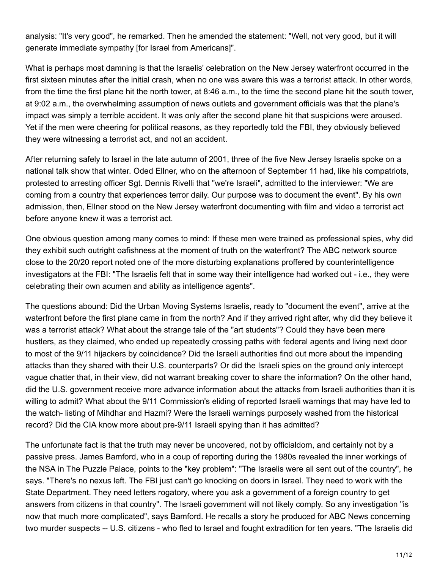analysis: "It's very good", he remarked. Then he amended the statement: "Well, not very good, but it will generate immediate sympathy [for Israel from Americans]".

What is perhaps most damning is that the Israelis' celebration on the New Jersey waterfront occurred in the first sixteen minutes after the initial crash, when no one was aware this was a terrorist attack. In other words, from the time the first plane hit the north tower, at 8:46 a.m., to the time the second plane hit the south tower, at 9:02 a.m., the overwhelming assumption of news outlets and government officials was that the plane's impact was simply a terrible accident. It was only after the second plane hit that suspicions were aroused. Yet if the men were cheering for political reasons, as they reportedly told the FBI, they obviously believed they were witnessing a terrorist act, and not an accident.

After returning safely to Israel in the late autumn of 2001, three of the five New Jersey Israelis spoke on a national talk show that winter. Oded Ellner, who on the afternoon of September 11 had, like his compatriots, protested to arresting officer Sgt. Dennis Rivelli that "we're Israeli", admitted to the interviewer: "We are coming from a country that experiences terror daily. Our purpose was to document the event". By his own admission, then, Ellner stood on the New Jersey waterfront documenting with film and video a terrorist act before anyone knew it was a terrorist act.

One obvious question among many comes to mind: If these men were trained as professional spies, why did they exhibit such outright oafishness at the moment of truth on the waterfront? The ABC network source close to the 20/20 report noted one of the more disturbing explanations proffered by counterintelligence investigators at the FBI: "The Israelis felt that in some way their intelligence had worked out - i.e., they were celebrating their own acumen and ability as intelligence agents".

The questions abound: Did the Urban Moving Systems Israelis, ready to "document the event", arrive at the waterfront before the first plane came in from the north? And if they arrived right after, why did they believe it was a terrorist attack? What about the strange tale of the "art students"? Could they have been mere hustlers, as they claimed, who ended up repeatedly crossing paths with federal agents and living next door to most of the 9/11 hijackers by coincidence? Did the Israeli authorities find out more about the impending attacks than they shared with their U.S. counterparts? Or did the Israeli spies on the ground only intercept vague chatter that, in their view, did not warrant breaking cover to share the information? On the other hand, did the U.S. government receive more advance information about the attacks from Israeli authorities than it is willing to admit? What about the 9/11 Commission's eliding of reported Israeli warnings that may have led to the watch- listing of Mihdhar and Hazmi? Were the Israeli warnings purposely washed from the historical record? Did the CIA know more about pre-9/11 Israeli spying than it has admitted?

The unfortunate fact is that the truth may never be uncovered, not by officialdom, and certainly not by a passive press. James Bamford, who in a coup of reporting during the 1980s revealed the inner workings of the NSA in The Puzzle Palace, points to the "key problem": "The Israelis were all sent out of the country", he says. "There's no nexus left. The FBI just can't go knocking on doors in Israel. They need to work with the State Department. They need letters rogatory, where you ask a government of a foreign country to get answers from citizens in that country". The Israeli government will not likely comply. So any investigation "is now that much more complicated", says Bamford. He recalls a story he produced for ABC News concerning two murder suspects -- U.S. citizens - who fled to Israel and fought extradition for ten years. "The Israelis did